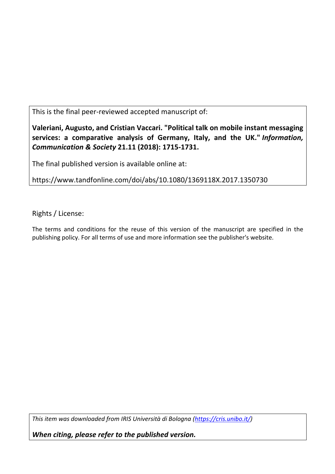This is the final peer-reviewed accepted manuscript of:

**Valeriani, Augusto, and Cristian Vaccari. "Political talk on mobile instant messaging services: a comparative analysis of Germany, Italy, and the UK."** *Information, Communication & Society* **21.11 (2018): 1715-1731.**

The final published version is available online at:

https://www.tandfonline.com/doi/abs/10.1080/1369118X.2017.1350730

Rights / License:

The terms and conditions for the reuse of this version of the manuscript are specified in the publishing policy. For all terms of use and more information see the publisher's website.

*This item was downloaded from IRIS Università di Bologna (https://cris.unibo.it/)*

*When citing, please refer to the published version.*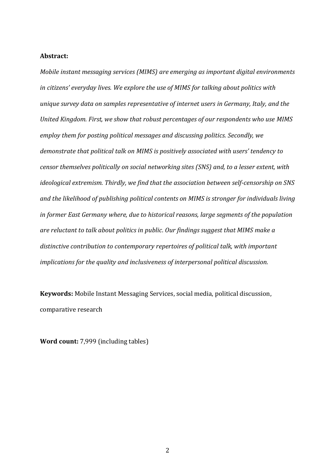### **Abstract:**

*Mobile instant messaging services (MIMS) are emerging as important digital environments in citizens' everyday lives. We explore the use of MIMS for talking about politics with unique survey data on samples representative of internet users in Germany, Italy, and the United Kingdom. First, we show that robust percentages of our respondents who use MIMS employ them for posting political messages and discussing politics. Secondly, we demonstrate that political talk on MIMS is positively associated with users' tendency to censor themselves politically on social networking sites (SNS) and, to a lesser extent, with ideological extremism. Thirdly, we find that the association between self-censorship on SNS and the likelihood of publishing political contents on MIMS is stronger for individuals living in former East Germany where, due to historical reasons, large segments of the population are reluctant to talk about politics in public. Our findings suggest that MIMS make a distinctive contribution to contemporary repertoires of political talk, with important implications for the quality and inclusiveness of interpersonal political discussion.*

**Keywords:** Mobile Instant Messaging Services, social media, political discussion, comparative research

**Word count:** 7,999 (including tables)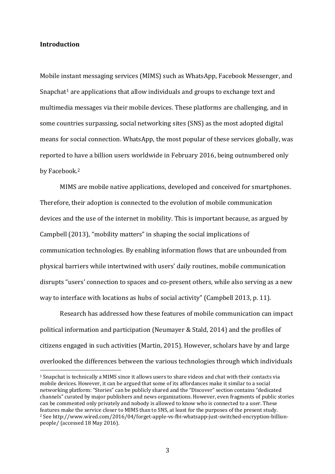## **Introduction**

Mobile instant messaging services (MIMS) such as WhatsApp, Facebook Messenger, and Snapchat<sup>1</sup> are applications that allow individuals and groups to exchange text and multimedia messages via their mobile devices. These platforms are challenging, and in some countries surpassing, social networking sites (SNS) as the most adopted digital means for social connection. WhatsApp, the most popular of these services globally, was reported to have a billion users worldwide in February 2016, being outnumbered only by Facebook. 2

MIMS are mobile native applications, developed and conceived for smartphones. Therefore, their adoption is connected to the evolution of mobile communication devices and the use of the internet in mobility. This is important because, as argued by Campbell (2013), "mobility matters" in shaping the social implications of communication technologies. By enabling information flows that are unbounded from physical barriers while intertwined with users' daily routines, mobile communication disrupts "users' connection to spaces and co-present others, while also serving as a new way to interface with locations as hubs of social activity" (Campbell 2013, p. 11).

Research has addressed how these features of mobile communication can impact political information and participation (Neumayer & Stald, 2014) and the profiles of citizens engaged in such activities (Martin, 2015). However, scholars have by and large overlooked the differences between the various technologies through which individuals

 <sup>1</sup> Snapchat is technically a MIMS since it allows users to share videos and chat with their contacts via mobile devices. However, it can be argued that some of its affordances make it similar to a social networking platform: "Stories" can be publicly shared and the "Discover" section contains "dedicated channels" curated by major publishers and news organizations. However, even fragments of public stories can be commented only privately and nobody is allowed to know who is connected to a user. These features make the service closer to MIMS than to SNS, at least for the purposes of the present study. <sup>2</sup> See http://www.wired.com/2016/04/forget-apple-vs-fbi-whatsapp-just-switched-encryption-billionpeople/ (accessed 18 May 2016).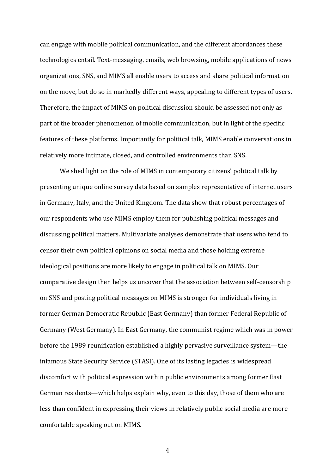can engage with mobile political communication, and the different affordances these technologies entail. Text-messaging, emails, web browsing, mobile applications of news organizations, SNS, and MIMS all enable users to access and share political information on the move, but do so in markedly different ways, appealing to different types of users. Therefore, the impact of MIMS on political discussion should be assessed not only as part of the broader phenomenon of mobile communication, but in light of the specific features of these platforms. Importantly for political talk, MIMS enable conversations in relatively more intimate, closed, and controlled environments than SNS.

We shed light on the role of MIMS in contemporary citizens' political talk by presenting unique online survey data based on samples representative of internet users in Germany, Italy, and the United Kingdom. The data show that robust percentages of our respondents who use MIMS employ them for publishing political messages and discussing political matters. Multivariate analyses demonstrate that users who tend to censor their own political opinions on social media and those holding extreme ideological positions are more likely to engage in political talk on MIMS. Our comparative design then helps us uncover that the association between self-censorship on SNS and posting political messages on MIMS is stronger for individuals living in former German Democratic Republic (East Germany) than former Federal Republic of Germany (West Germany). In East Germany, the communist regime which was in power before the 1989 reunification established a highly pervasive surveillance system—the infamous State Security Service (STASI). One of its lasting legacies is widespread discomfort with political expression within public environments among former East German residents—which helps explain why, even to this day, those of them who are less than confident in expressing their views in relatively public social media are more comfortable speaking out on MIMS.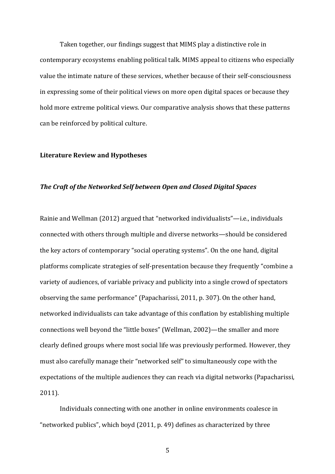Taken together, our findings suggest that MIMS play a distinctive role in contemporary ecosystems enabling political talk. MIMS appeal to citizens who especially value the intimate nature of these services, whether because of their self-consciousness in expressing some of their political views on more open digital spaces or because they hold more extreme political views. Our comparative analysis shows that these patterns can be reinforced by political culture.

### **Literature Review and Hypotheses**

#### *The Craft of the Networked Self between Open and Closed Digital Spaces*

Rainie and Wellman (2012) argued that "networked individualists"—i.e., individuals connected with others through multiple and diverse networks—should be considered the key actors of contemporary "social operating systems". On the one hand, digital platforms complicate strategies of self-presentation because they frequently "combine a variety of audiences, of variable privacy and publicity into a single crowd of spectators observing the same performance" (Papacharissi, 2011, p. 307). On the other hand, networked individualists can take advantage of this conflation by establishing multiple connections well beyond the "little boxes" (Wellman, 2002)—the smaller and more clearly defined groups where most social life was previously performed. However, they must also carefully manage their "networked self" to simultaneously cope with the expectations of the multiple audiences they can reach via digital networks (Papacharissi, 2011).

Individuals connecting with one another in online environments coalesce in "networked publics", which boyd (2011, p. 49) defines as characterized by three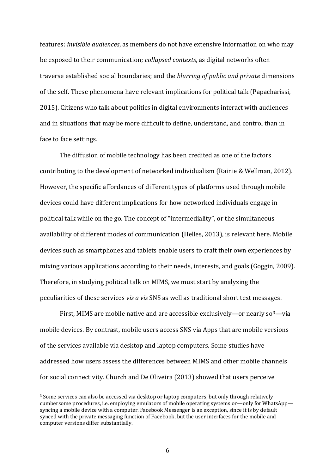features: *invisible audiences*, as members do not have extensive information on who may be exposed to their communication; *collapsed contexts*, as digital networks often traverse established social boundaries; and the *blurring of public and private* dimensions of the self. These phenomena have relevant implications for political talk (Papacharissi, 2015). Citizens who talk about politics in digital environments interact with audiences and in situations that may be more difficult to define, understand, and control than in face to face settings.

The diffusion of mobile technology has been credited as one of the factors contributing to the development of networked individualism (Rainie & Wellman, 2012). However, the specific affordances of different types of platforms used through mobile devices could have different implications for how networked individuals engage in political talk while on the go. The concept of "intermediality", or the simultaneous availability of different modes of communication (Helles, 2013), is relevant here. Mobile devices such as smartphones and tablets enable users to craft their own experiences by mixing various applications according to their needs, interests, and goals (Goggin, 2009). Therefore, in studying political talk on MIMS, we must start by analyzing the peculiarities of these services *vis a vis* SNS as well as traditional short text messages.

First, MIMS are mobile native and are accessible exclusively—or nearly  $\frac{1}{2}$  via mobile devices. By contrast, mobile users access SNS via Apps that are mobile versions of the services available via desktop and laptop computers. Some studies have addressed how users assess the differences between MIMS and other mobile channels for social connectivity. Church and De Oliveira (2013) showed that users perceive

 <sup>3</sup> Some services can also be accessed via desktop or laptop computers, but only through relatively cumbersome procedures, i.e. employing emulators of mobile operating systems or—only for WhatsApp syncing a mobile device with a computer. Facebook Messenger is an exception, since it is by default synced with the private messaging function of Facebook, but the user interfaces for the mobile and computer versions differ substantially.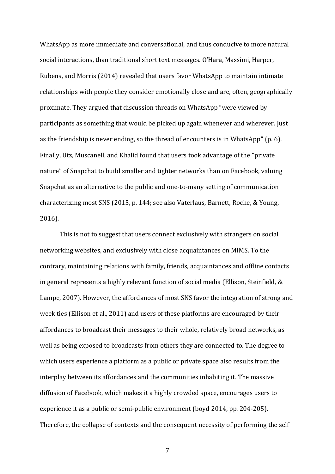WhatsApp as more immediate and conversational, and thus conducive to more natural social interactions, than traditional short text messages. O'Hara, Massimi, Harper, Rubens, and Morris (2014) revealed that users favor WhatsApp to maintain intimate relationships with people they consider emotionally close and are, often, geographically proximate. They argued that discussion threads on WhatsApp "were viewed by participants as something that would be picked up again whenever and wherever. Just as the friendship is never ending, so the thread of encounters is in WhatsApp" (p. 6). Finally, Utz, Muscanell, and Khalid found that users took advantage of the "private nature" of Snapchat to build smaller and tighter networks than on Facebook, valuing Snapchat as an alternative to the public and one-to-many setting of communication characterizing most SNS (2015, p. 144; see also Vaterlaus, Barnett, Roche, & Young, 2016).

This is not to suggest that users connect exclusively with strangers on social networking websites, and exclusively with close acquaintances on MIMS. To the contrary, maintaining relations with family, friends, acquaintances and offline contacts in general represents a highly relevant function of social media (Ellison, Steinfield, & Lampe, 2007). However, the affordances of most SNS favor the integration of strong and week ties (Ellison et al., 2011) and users of these platforms are encouraged by their affordances to broadcast their messages to their whole, relatively broad networks, as well as being exposed to broadcasts from others they are connected to. The degree to which users experience a platform as a public or private space also results from the interplay between its affordances and the communities inhabiting it. The massive diffusion of Facebook, which makes it a highly crowded space, encourages users to experience it as a public or semi-public environment (boyd 2014, pp. 204-205). Therefore, the collapse of contexts and the consequent necessity of performing the self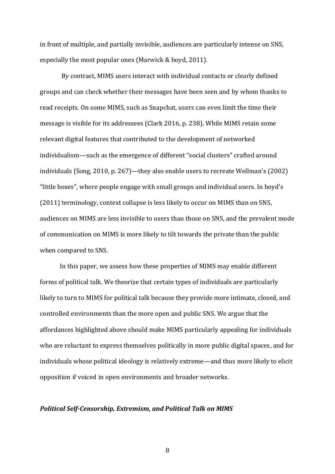in front of multiple, and partially invisible, audiences are particularly intense on SNS, especially the most popular ones (Marwick & boyd, 2011).

By contrast, MIMS users interact with individual contacts or clearly defined groups and can check whether their messages have been seen and by whom thanks to read receipts. On some MIMS, such as Snapchat, users can even limit the time their message is visible for its addressees (Clark 2016, p. 238). While MIMS retain some relevant digital features that contributed to the development of networked individualism—such as the emergence of different "social clusters" crafted around individuals (Song, 2010, p. 267)—they also enable users to recreate Wellman's (2002) "little boxes", where people engage with small groups and individual users. In boyd's (2011) terminology, context collapse is less likely to occur on MIMS than on SNS, audiences on MIMS are less invisible to users than those on SNS, and the prevalent mode of communication on MIMS is more likely to tilt towards the private than the public when compared to SNS.

In this paper, we assess how these properties of MIMS may enable different forms of political talk. We theorize that certain types of individuals are particularly likely to turn to MIMS for political talk because they provide more intimate, closed, and controlled environments than the more open and public SNS. We argue that the affordances highlighted above should make MIMS particularly appealing for individuals who are reluctant to express themselves politically in more public digital spaces, and for individuals whose political ideology is relatively extreme—and thus more likely to elicit opposition if voiced in open environments and broader networks.

#### *Political Self-Censorship, Extremism, and Political Talk on MIMS*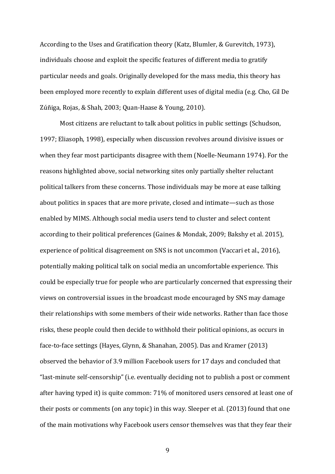According to the Uses and Gratification theory (Katz, Blumler, & Gurevitch, 1973), individuals choose and exploit the specific features of different media to gratify particular needs and goals. Originally developed for the mass media, this theory has been employed more recently to explain different uses of digital media (e.g. Cho, Gil De Zúñiga, Rojas, & Shah, 2003; Quan-Haase & Young, 2010).

Most citizens are reluctant to talk about politics in public settings (Schudson, 1997; Eliasoph, 1998), especially when discussion revolves around divisive issues or when they fear most participants disagree with them (Noelle-Neumann 1974). For the reasons highlighted above, social networking sites only partially shelter reluctant political talkers from these concerns. Those individuals may be more at ease talking about politics in spaces that are more private, closed and intimate—such as those enabled by MIMS. Although social media users tend to cluster and select content according to their political preferences (Gaines & Mondak, 2009; Bakshy et al. 2015), experience of political disagreement on SNS is not uncommon (Vaccari et al., 2016), potentially making political talk on social media an uncomfortable experience. This could be especially true for people who are particularly concerned that expressing their views on controversial issues in the broadcast mode encouraged by SNS may damage their relationships with some members of their wide networks. Rather than face those risks, these people could then decide to withhold their political opinions, as occurs in face-to-face settings (Hayes, Glynn, & Shanahan, 2005). Das and Kramer (2013) observed the behavior of 3.9 million Facebook users for 17 days and concluded that "last-minute self-censorship" (i.e. eventually deciding not to publish a post or comment after having typed it) is quite common: 71% of monitored users censored at least one of their posts or comments (on any topic) in this way. Sleeper et al. (2013) found that one of the main motivations why Facebook users censor themselves was that they fear their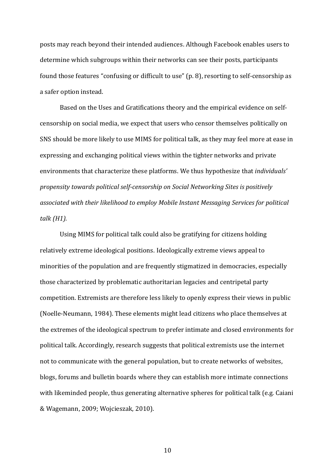posts may reach beyond their intended audiences. Although Facebook enables users to determine which subgroups within their networks can see their posts, participants found those features "confusing or difficult to use" (p. 8), resorting to self-censorship as a safer option instead.

Based on the Uses and Gratifications theory and the empirical evidence on selfcensorship on social media, we expect that users who censor themselves politically on SNS should be more likely to use MIMS for political talk, as they may feel more at ease in expressing and exchanging political views within the tighter networks and private environments that characterize these platforms. We thus hypothesize that *individuals' propensity towards political self-censorship on Social Networking Sites is positively associated with their likelihood to employ Mobile Instant Messaging Services for political talk (H1).*

Using MIMS for political talk could also be gratifying for citizens holding relatively extreme ideological positions. Ideologically extreme views appeal to minorities of the population and are frequently stigmatized in democracies, especially those characterized by problematic authoritarian legacies and centripetal party competition. Extremists are therefore less likely to openly express their views in public (Noelle-Neumann, 1984). These elements might lead citizens who place themselves at the extremes of the ideological spectrum to prefer intimate and closed environments for political talk. Accordingly, research suggests that political extremists use the internet not to communicate with the general population, but to create networks of websites, blogs, forums and bulletin boards where they can establish more intimate connections with likeminded people, thus generating alternative spheres for political talk (e.g. Caiani & Wagemann, 2009; Wojcieszak, 2010).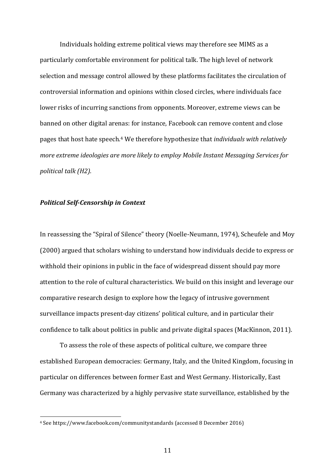Individuals holding extreme political views may therefore see MIMS as a particularly comfortable environment for political talk. The high level of network selection and message control allowed by these platforms facilitates the circulation of controversial information and opinions within closed circles, where individuals face lower risks of incurring sanctions from opponents. Moreover, extreme views can be banned on other digital arenas: for instance, Facebook can remove content and close pages that host hate speech. <sup>4</sup> We therefore hypothesize that *individuals with relatively more extreme ideologies are more likely to employ Mobile Instant Messaging Services for political talk (H2).*

## *Political Self-Censorship in Context*

In reassessing the "Spiral of Silence" theory (Noelle-Neumann, 1974), Scheufele and Moy (2000) argued that scholars wishing to understand how individuals decide to express or withhold their opinions in public in the face of widespread dissent should pay more attention to the role of cultural characteristics. We build on this insight and leverage our comparative research design to explore how the legacy of intrusive government surveillance impacts present-day citizens' political culture, and in particular their confidence to talk about politics in public and private digital spaces (MacKinnon, 2011).

To assess the role of these aspects of political culture, we compare three established European democracies: Germany, Italy, and the United Kingdom, focusing in particular on differences between former East and West Germany. Historically, East Germany was characterized by a highly pervasive state surveillance, established by the

 <sup>4</sup> See https://www.facebook.com/communitystandards (accessed 8 December 2016)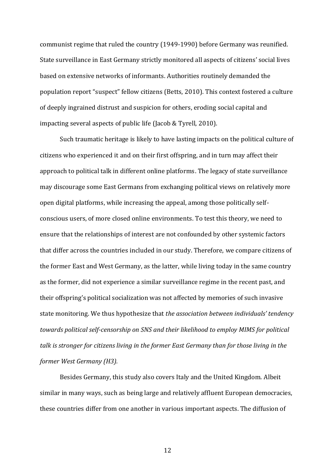communist regime that ruled the country (1949-1990) before Germany was reunified. State surveillance in East Germany strictly monitored all aspects of citizens' social lives based on extensive networks of informants. Authorities routinely demanded the population report "suspect" fellow citizens (Betts, 2010). This context fostered a culture of deeply ingrained distrust and suspicion for others, eroding social capital and impacting several aspects of public life (Jacob & Tyrell, 2010).

Such traumatic heritage is likely to have lasting impacts on the political culture of citizens who experienced it and on their first offspring, and in turn may affect their approach to political talk in different online platforms. The legacy of state surveillance may discourage some East Germans from exchanging political views on relatively more open digital platforms, while increasing the appeal, among those politically selfconscious users, of more closed online environments. To test this theory, we need to ensure that the relationships of interest are not confounded by other systemic factors that differ across the countries included in our study. Therefore, we compare citizens of the former East and West Germany, as the latter, while living today in the same country as the former, did not experience a similar surveillance regime in the recent past, and their offspring's political socialization was not affected by memories of such invasive state monitoring. We thus hypothesize that *the association between individuals' tendency towards political self-censorship on SNS and their likelihood to employ MIMS for political talk is stronger for citizens living in the former East Germany than for those living in the former West Germany (H3).*

Besides Germany, this study also covers Italy and the United Kingdom. Albeit similar in many ways, such as being large and relatively affluent European democracies, these countries differ from one another in various important aspects. The diffusion of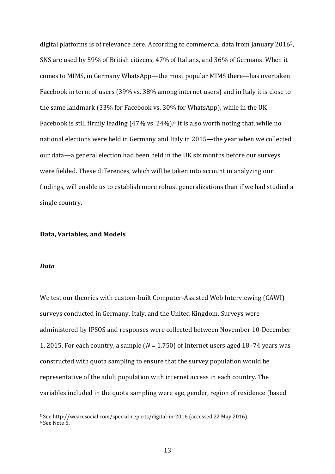digital platforms is of relevance here. According to commercial data from January 20165, SNS are used by 59% of British citizens, 47% of Italians, and 36% of Germans. When it comes to MIMS, in Germany WhatsApp—the most popular MIMS there—has overtaken Facebook in term of users (39% vs. 38% among internet users) and in Italy it is close to the same landmark (33% for Facebook vs. 30% for WhatsApp), while in the UK Facebook is still firmly leading (47% vs. 24%). <sup>6</sup> It is also worth noting that, while no national elections were held in Germany and Italy in 2015—the year when we collected our data—a general election had been held in the UK six months before our surveys were fielded. These differences, which will be taken into account in analyzing our findings, will enable us to establish more robust generalizations than if we had studied a single country.

## **Data, Variables, and Models**

#### *Data*

We test our theories with custom-built Computer-Assisted Web Interviewing (CAWI) surveys conducted in Germany, Italy, and the United Kingdom. Surveys were administered by IPSOS and responses were collected between November 10-December 1, 2015. For each country, a sample (*N* = 1,750) of Internet users aged 18–74 years was constructed with quota sampling to ensure that the survey population would be representative of the adult population with internet access in each country. The variables included in the quota sampling were age, gender, region of residence (based

 <sup>5</sup> See http://wearesocial.com/special-reports/digital-in-2016 (accessed 22 May 2016).

<sup>6</sup> See Note 5.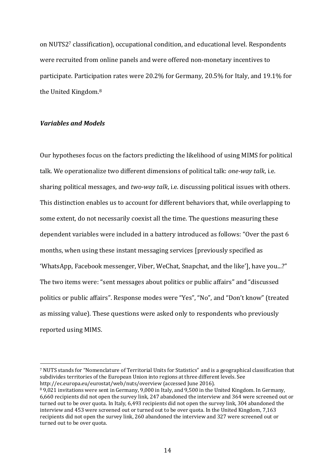on NUTS27 classification), occupational condition, and educational level. Respondents were recruited from online panels and were offered non-monetary incentives to participate. Participation rates were 20.2% for Germany, 20.5% for Italy, and 19.1% for the United Kingdom. 8

# *Variables and Models*

Our hypotheses focus on the factors predicting the likelihood of using MIMS for political talk. We operationalize two different dimensions of political talk: *one-way talk*, i.e. sharing political messages, and *two-way talk*, i.e. discussing political issues with others. This distinction enables us to account for different behaviors that, while overlapping to some extent, do not necessarily coexist all the time. The questions measuring these dependent variables were included in a battery introduced as follows: "Over the past 6 months, when using these instant messaging services [previously specified as 'WhatsApp, Facebook messenger, Viber, WeChat, Snapchat, and the like'], have you...?" The two items were: "sent messages about politics or public affairs" and "discussed politics or public affairs". Response modes were "Yes", "No", and "Don't know" (treated as missing value). These questions were asked only to respondents who previously reported using MIMS.

 <sup>7</sup> NUTS stands for "Nomenclature of Territorial Units for Statistics" and is a geographical classification that subdivides territories of the European Union into regions at three different levels. See http://ec.europa.eu/eurostat/web/nuts/overview (accessed June 2016).

<sup>8</sup> 9,021 invitations were sent in Germany, 9,000 in Italy, and 9,500 in the United Kingdom. In Germany, 6,660 recipients did not open the survey link, 247 abandoned the interview and 364 were screened out or turned out to be over quota. In Italy, 6,493 recipients did not open the survey link, 304 abandoned the interview and 453 were screened out or turned out to be over quota. In the United Kingdom, 7,163 recipients did not open the survey link, 260 abandoned the interview and 327 were screened out or turned out to be over quota.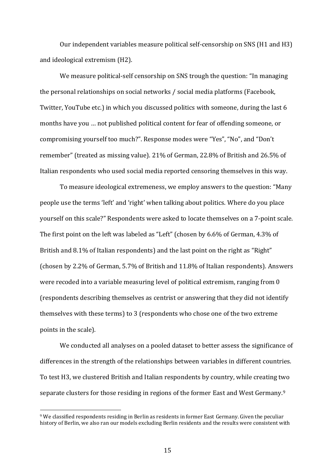Our independent variables measure political self-censorship on SNS (H1 and H3) and ideological extremism (H2).

We measure political-self censorship on SNS trough the question: "In managing the personal relationships on social networks / social media platforms (Facebook, Twitter, YouTube etc.) in which you discussed politics with someone, during the last 6 months have you … not published political content for fear of offending someone, or compromising yourself too much?". Response modes were "Yes", "No", and "Don't remember" (treated as missing value). 21% of German, 22.8% of British and 26.5% of Italian respondents who used social media reported censoring themselves in this way.

To measure ideological extremeness, we employ answers to the question: "Many people use the terms 'left' and 'right' when talking about politics. Where do you place yourself on this scale?" Respondents were asked to locate themselves on a 7-point scale. The first point on the left was labeled as "Left" (chosen by 6.6% of German, 4.3% of British and 8.1% of Italian respondents) and the last point on the right as "Right" (chosen by 2.2% of German, 5.7% of British and 11.8% of Italian respondents). Answers were recoded into a variable measuring level of political extremism, ranging from 0 (respondents describing themselves as centrist or answering that they did not identify themselves with these terms) to 3 (respondents who chose one of the two extreme points in the scale).

We conducted all analyses on a pooled dataset to better assess the significance of differences in the strength of the relationships between variables in different countries. To test H3, we clustered British and Italian respondents by country, while creating two separate clusters for those residing in regions of the former East and West Germany. 9

 <sup>9</sup> We classified respondents residing in Berlin as residents in former East Germany. Given the peculiar history of Berlin, we also ran our models excluding Berlin residents and the results were consistent with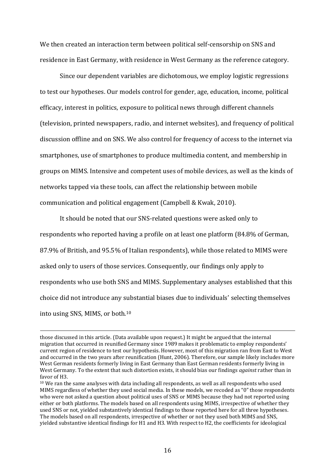We then created an interaction term between political self-censorship on SNS and residence in East Germany, with residence in West Germany as the reference category.

Since our dependent variables are dichotomous, we employ logistic regressions to test our hypotheses. Our models control for gender, age, education, income, political efficacy, interest in politics, exposure to political news through different channels (television, printed newspapers, radio, and internet websites), and frequency of political discussion offline and on SNS. We also control for frequency of access to the internet via smartphones, use of smartphones to produce multimedia content, and membership in groups on MIMS. Intensive and competent uses of mobile devices, as well as the kinds of networks tapped via these tools, can affect the relationship between mobile communication and political engagement (Campbell & Kwak, 2010).

It should be noted that our SNS-related questions were asked only to respondents who reported having a profile on at least one platform (84.8% of German, 87.9% of British, and 95.5% of Italian respondents), while those related to MIMS were asked only to users of those services. Consequently, our findings only apply to respondents who use both SNS and MIMS. Supplementary analyses established that this choice did not introduce any substantial biases due to individuals' selecting themselves into using SNS, MIMS, or both.10

 $\overline{a}$ 

those discussed in this article. (Data available upon request.) It might be argued that the internal migration that occurred in reunified Germany since 1989 makes it problematic to employ respondents' current region of residence to test our hypothesis. However, most of this migration ran from East to West and occurred in the two years after reunification (Hunt, 2006). Therefore, our sample likely includes more West German residents formerly living in East Germany than East German residents formerly living in West Germany. To the extent that such distortion exists, it should bias our findings *against* rather than in favor of H3.

<sup>&</sup>lt;sup>10</sup> We ran the same analyses with data including all respondents, as well as all respondents who used MIMS regardless of whether they used social media. In these models, we recoded as "0" those respondents who were not asked a question about political uses of SNS or MIMS because they had not reported using either or both platforms. The models based on all respondents using MIMS, irrespective of whether they used SNS or not, yielded substantively identical findings to those reported here for all three hypotheses. The models based on all respondents, irrespective of whether or not they used both MIMS and SNS, yielded substantive identical findings for H1 and H3. With respect to H2, the coefficients for ideological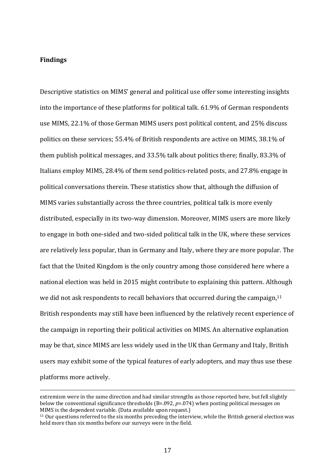# **Findings**

 $\overline{a}$ 

Descriptive statistics on MIMS' general and political use offer some interesting insights into the importance of these platforms for political talk. 61.9% of German respondents use MIMS, 22.1% of those German MIMS users post political content, and 25% discuss politics on these services; 55.4% of British respondents are active on MIMS, 38.1% of them publish political messages, and 33.5% talk about politics there; finally, 83.3% of Italians employ MIMS, 28.4% of them send politics-related posts, and 27.8% engage in political conversations therein. These statistics show that, although the diffusion of MIMS varies substantially across the three countries, political talk is more evenly distributed, especially in its two-way dimension. Moreover, MIMS users are more likely to engage in both one-sided and two-sided political talk in the UK, where these services are relatively less popular, than in Germany and Italy, where they are more popular. The fact that the United Kingdom is the only country among those considered here where a national election was held in 2015 might contribute to explaining this pattern. Although we did not ask respondents to recall behaviors that occurred during the campaign, 11 British respondents may still have been influenced by the relatively recent experience of the campaign in reporting their political activities on MIMS. An alternative explanation may be that, since MIMS are less widely used in the UK than Germany and Italy, British users may exhibit some of the typical features of early adopters, and may thus use these platforms more actively.

extremism were in the same direction and had similar strengths as those reported here, but fell slightly below the conventional significance thresholds (B=.092, *p*=.074) when posting political messages on MIMS is the dependent variable. (Data available upon request.)

 $11$  Our questions referred to the six months preceding the interview, while the British general election was held more than six months before our surveys were in the field.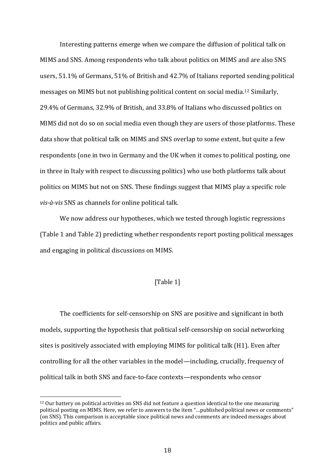Interesting patterns emerge when we compare the diffusion of political talk on MIMS and SNS. Among respondents who talk about politics on MIMS and are also SNS users, 51.1% of Germans, 51% of British and 42.7% of Italians reported sending political messages on MIMS but not publishing political content on social media. <sup>12</sup> Similarly, 29.4% of Germans, 32.9% of British, and 33.8% of Italians who discussed politics on MIMS did not do so on social media even though they are users of those platforms. These data show that political talk on MIMS and SNS overlap to some extent, but quite a few respondents (one in two in Germany and the UK when it comes to political posting, one in three in Italy with respect to discussing politics) who use both platforms talk about politics on MIMS but not on SNS. These findings suggest that MIMS play a specific role *vis-à-vis* SNS as channels for online political talk.

We now address our hypotheses, which we tested through logistic regressions (Table 1 and Table 2) predicting whether respondents report posting political messages and engaging in political discussions on MIMS.

# [Table 1]

The coefficients for self-censorship on SNS are positive and significant in both models, supporting the hypothesis that political self-censorship on social networking sites is positively associated with employing MIMS for political talk (H1). Even after controlling for all the other variables in the model—including, crucially, frequency of political talk in both SNS and face-to-face contexts—respondents who censor

<sup>&</sup>lt;sup>12</sup> Our battery on political activities on SNS did not feature a question identical to the one measuring political posting on MIMS. Here, we refer to answers to the item "…published political news or comments" (on SNS). This comparison is acceptable since political news and comments are indeed messages about politics and public affairs.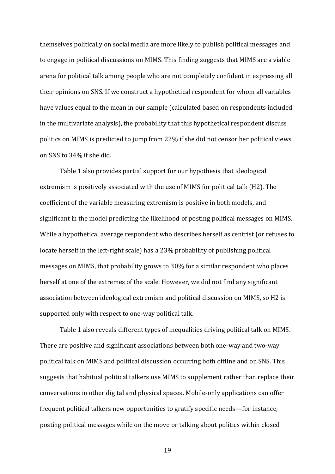themselves politically on social media are more likely to publish political messages and to engage in political discussions on MIMS. This finding suggests that MIMS are a viable arena for political talk among people who are not completely confident in expressing all their opinions on SNS. If we construct a hypothetical respondent for whom all variables have values equal to the mean in our sample (calculated based on respondents included in the multivariate analysis), the probability that this hypothetical respondent discuss politics on MIMS is predicted to jump from 22% if she did not censor her political views on SNS to 34% if she did.

Table 1 also provides partial support for our hypothesis that ideological extremism is positively associated with the use of MIMS for political talk (H2)*.* The coefficient of the variable measuring extremism is positive in both models, and significant in the model predicting the likelihood of posting political messages on MIMS. While a hypothetical average respondent who describes herself as centrist (or refuses to locate herself in the left-right scale) has a 23% probability of publishing political messages on MIMS, that probability grows to 30% for a similar respondent who places herself at one of the extremes of the scale. However, we did not find any significant association between ideological extremism and political discussion on MIMS, so H2 is supported only with respect to one-way political talk.

Table 1 also reveals different types of inequalities driving political talk on MIMS. There are positive and significant associations between both one-way and two-way political talk on MIMS and political discussion occurring both offline and on SNS. This suggests that habitual political talkers use MIMS to supplement rather than replace their conversations in other digital and physical spaces. Mobile-only applications can offer frequent political talkers new opportunities to gratify specific needs—for instance, posting political messages while on the move or talking about politics within closed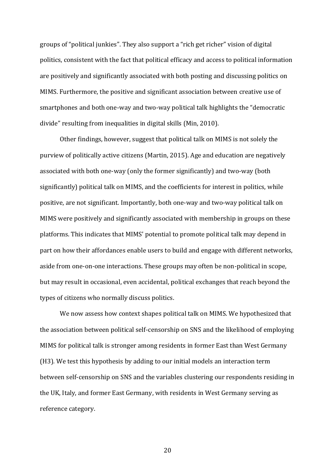groups of "political junkies". They also support a "rich get richer" vision of digital politics, consistent with the fact that political efficacy and access to political information are positively and significantly associated with both posting and discussing politics on MIMS. Furthermore, the positive and significant association between creative use of smartphones and both one-way and two-way political talk highlights the "democratic divide" resulting from inequalities in digital skills (Min, 2010).

Other findings, however, suggest that political talk on MIMS is not solely the purview of politically active citizens (Martin, 2015). Age and education are negatively associated with both one-way (only the former significantly) and two-way (both significantly) political talk on MIMS, and the coefficients for interest in politics, while positive, are not significant. Importantly, both one-way and two-way political talk on MIMS were positively and significantly associated with membership in groups on these platforms. This indicates that MIMS' potential to promote political talk may depend in part on how their affordances enable users to build and engage with different networks, aside from one-on-one interactions. These groups may often be non-political in scope, but may result in occasional, even accidental, political exchanges that reach beyond the types of citizens who normally discuss politics.

We now assess how context shapes political talk on MIMS. We hypothesized that the association between political self-censorship on SNS and the likelihood of employing MIMS for political talk is stronger among residents in former East than West Germany (H3)*.* We test this hypothesis by adding to our initial models an interaction term between self-censorship on SNS and the variables clustering our respondents residing in the UK, Italy, and former East Germany, with residents in West Germany serving as reference category.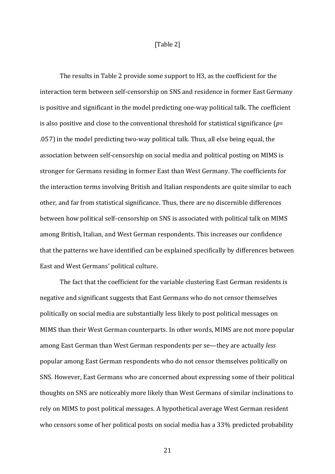## [Table 2]

The results in Table 2 provide some support to H3, as the coefficient for the interaction term between self-censorship on SNS and residence in former East Germany is positive and significant in the model predicting one-way political talk. The coefficient is also positive and close to the conventional threshold for statistical significance (*p*= .057) in the model predicting two-way political talk. Thus, all else being equal, the association between self-censorship on social media and political posting on MIMS is stronger for Germans residing in former East than West Germany. The coefficients for the interaction terms involving British and Italian respondents are quite similar to each other, and far from statistical significance. Thus, there are no discernible differences between how political self-censorship on SNS is associated with political talk on MIMS among British, Italian, and West German respondents. This increases our confidence that the patterns we have identified can be explained specifically by differences between East and West Germans' political culture.

The fact that the coefficient for the variable clustering East German residents is negative and significant suggests that East Germans who do not censor themselves politically on social media are substantially less likely to post political messages on MIMS than their West German counterparts. In other words, MIMS are not more popular among East German than West German respondents per se—they are actually *less* popular among East German respondents who do not censor themselves politically on SNS. However, East Germans who are concerned about expressing some of their political thoughts on SNS are noticeably more likely than West Germans of similar inclinations to rely on MIMS to post political messages. A hypothetical average West German resident who censors some of her political posts on social media has a 33% predicted probability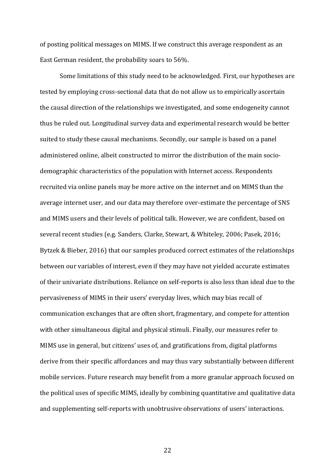of posting political messages on MIMS. If we construct this average respondent as an East German resident, the probability soars to 56%.

Some limitations of this study need to be acknowledged. First, our hypotheses are tested by employing cross-sectional data that do not allow us to empirically ascertain the causal direction of the relationships we investigated, and some endogeneity cannot thus be ruled out. Longitudinal survey data and experimental research would be better suited to study these causal mechanisms. Secondly, our sample is based on a panel administered online, albeit constructed to mirror the distribution of the main sociodemographic characteristics of the population with Internet access. Respondents recruited via online panels may be more active on the internet and on MIMS than the average internet user, and our data may therefore over-estimate the percentage of SNS and MIMS users and their levels of political talk. However, we are confident, based on several recent studies (e.g. Sanders, Clarke, Stewart, & Whiteley, 2006; Pasek, 2016; Bytzek & Bieber, 2016) that our samples produced correct estimates of the relationships between our variables of interest, even if they may have not yielded accurate estimates of their univariate distributions. Reliance on self-reports is also less than ideal due to the pervasiveness of MIMS in their users' everyday lives, which may bias recall of communication exchanges that are often short, fragmentary, and compete for attention with other simultaneous digital and physical stimuli. Finally, our measures refer to MIMS use in general, but citizens' uses of, and gratifications from, digital platforms derive from their specific affordances and may thus vary substantially between different mobile services. Future research may benefit from a more granular approach focused on the political uses of specific MIMS, ideally by combining quantitative and qualitative data and supplementing self-reports with unobtrusive observations of users' interactions.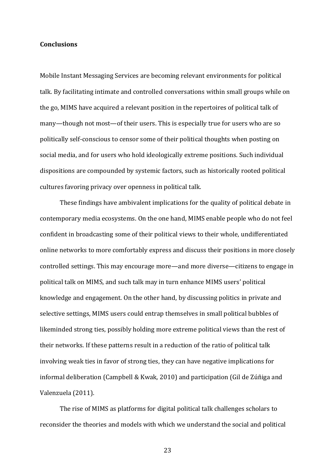### **Conclusions**

Mobile Instant Messaging Services are becoming relevant environments for political talk. By facilitating intimate and controlled conversations within small groups while on the go, MIMS have acquired a relevant position in the repertoires of political talk of many—though not most—of their users. This is especially true for users who are so politically self-conscious to censor some of their political thoughts when posting on social media, and for users who hold ideologically extreme positions. Such individual dispositions are compounded by systemic factors, such as historically rooted political cultures favoring privacy over openness in political talk.

These findings have ambivalent implications for the quality of political debate in contemporary media ecosystems. On the one hand, MIMS enable people who do not feel confident in broadcasting some of their political views to their whole, undifferentiated online networks to more comfortably express and discuss their positions in more closely controlled settings. This may encourage more—and more diverse—citizens to engage in political talk on MIMS, and such talk may in turn enhance MIMS users' political knowledge and engagement. On the other hand, by discussing politics in private and selective settings, MIMS users could entrap themselves in small political bubbles of likeminded strong ties, possibly holding more extreme political views than the rest of their networks. If these patterns result in a reduction of the ratio of political talk involving weak ties in favor of strong ties, they can have negative implications for informal deliberation (Campbell & Kwak, 2010) and participation (Gil de Zúñiga and Valenzuela (2011).

The rise of MIMS as platforms for digital political talk challenges scholars to reconsider the theories and models with which we understand the social and political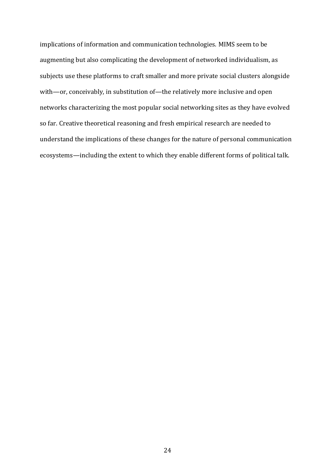implications of information and communication technologies. MIMS seem to be augmenting but also complicating the development of networked individualism, as subjects use these platforms to craft smaller and more private social clusters alongside with—or, conceivably, in substitution of—the relatively more inclusive and open networks characterizing the most popular social networking sites as they have evolved so far. Creative theoretical reasoning and fresh empirical research are needed to understand the implications of these changes for the nature of personal communication ecosystems—including the extent to which they enable different forms of political talk.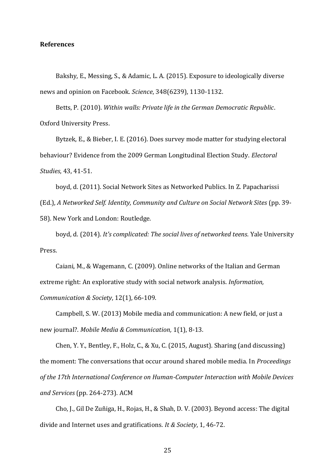### **References**

Bakshy, E., Messing, S., & Adamic, L. A. (2015). Exposure to ideologically diverse news and opinion on Facebook. *Science*, 348(6239), 1130-1132.

Betts, P. (2010). *Within walls: Private life in the German Democratic Republic*. Oxford University Press.

Bytzek, E., & Bieber, I. E. (2016). Does survey mode matter for studying electoral behaviour? Evidence from the 2009 German Longitudinal Election Study. *Electoral Studies*, 43, 41-51.

boyd, d. (2011). Social Network Sites as Networked Publics. In Z. Papacharissi

(Ed.), *A Networked Self. Identity, Community and Culture on Social Network Sites* (pp. 39-

58). New York and London: Routledge.

boyd, d. (2014). *It's complicated: The social lives of networked teens*. Yale University Press.

Caiani, M., & Wagemann, C. (2009). Online networks of the Italian and German extreme right: An explorative study with social network analysis. *Information, Communication & Society*, 12(1), 66-109.

Campbell, S. W. (2013) Mobile media and communication: A new field, or just a new journal?. *Mobile Media & Communication,* 1(1), 8-13.

Chen, Y. Y., Bentley, F., Holz, C., & Xu, C. (2015, August). Sharing (and discussing) the moment: The conversations that occur around shared mobile media. In *Proceedings of the 17th International Conference on Human-Computer Interaction with Mobile Devices and Services* (pp. 264-273). ACM

Cho, J., Gil De Zuñiga, H., Rojas, H., & Shah, D. V. (2003). Beyond access: The digital divide and Internet uses and gratifications. *It & Society*, 1, 46-72.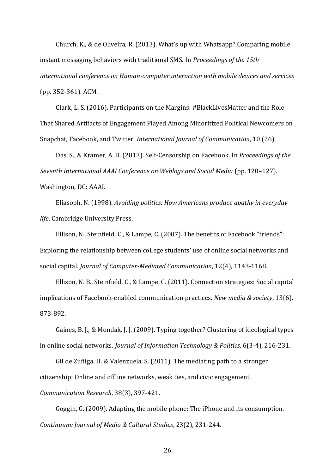Church, K., & de Oliveira, R. (2013). What's up with Whatsapp? Comparing mobile instant messaging behaviors with traditional SMS. In *Proceedings of the 15th international conference on Human-computer interaction with mobile devices and services* (pp. 352-361). ACM.

Clark, L. S. (2016). Participants on the Margins: #BlackLivesMatter and the Role That Shared Artifacts of Engagement Played Among Minoritized Political Newcomers on Snapchat, Facebook, and Twitter. *International Journal of Communication*, 10 (26).

Das, S., & Kramer, A. D. (2013). Self-Censorship on Facebook. In *Proceedings of the Seventh International AAAI Conference on Weblogs and Social Media* (pp. 120–127). Washington, DC: AAAI.

Eliasoph, N. (1998). *Avoiding politics: How Americans produce apathy in everyday life*. Cambridge University Press.

Ellison, N., Steinfield, C., & Lampe, C. (2007). The benefits of Facebook "friends": Exploring the relationship between college students' use of online social networks and social capital. *Journal of Computer-Mediated Communication*, 12(4), 1143-1168.

Ellison, N. B., Steinfield, C., & Lampe, C. (2011). Connection strategies: Social capital implications of Facebook-enabled communication practices. *New media & society*, 13(6), 873-892.

Gaines, B. J., & Mondak, J. J. (2009). Typing together? Clustering of ideological types in online social networks. *Journal of Information Technology & Politics*, 6(3-4), 216-231.

Gil de Zúñiga, H. & Valenzuela, S. (2011). The mediating path to a stronger citizenship: Online and offline networks, weak ties, and civic engagement.

*Communication Research*, 38(3), 397-421.

Goggin, G. (2009). Adapting the mobile phone: The iPhone and its consumption. *Continuum: Journal of Media & Cultural Studies*, 23(2), 231-244.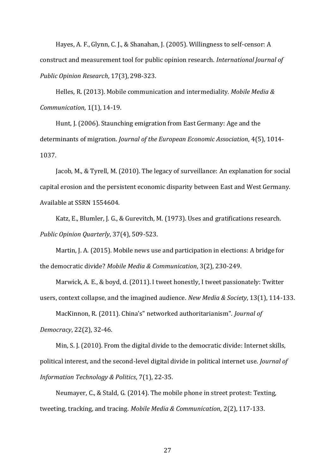Hayes, A. F., Glynn, C. J., & Shanahan, J. (2005). Willingness to self-censor: A construct and measurement tool for public opinion research. *International Journal of Public Opinion Research*, 17(3), 298-323.

Helles, R. (2013). Mobile communication and intermediality. *Mobile Media & Communication*, 1(1), 14-19.

Hunt, J. (2006). Staunching emigration from East Germany: Age and the determinants of migration. *Journal of the European Economic Association*, 4(5), 1014- 1037.

Jacob, M., & Tyrell, M. (2010). The legacy of surveillance: An explanation for social capital erosion and the persistent economic disparity between East and West Germany. Available at SSRN 1554604.

Katz, E., Blumler, J. G., & Gurevitch, M. (1973). Uses and gratifications research. *Public Opinion Quarterly*, 37(4), 509-523.

Martin, J. A. (2015). Mobile news use and participation in elections: A bridge for the democratic divide? *Mobile Media & Communication*, 3(2), 230-249.

Marwick, A. E., & boyd, d. (2011). I tweet honestly, I tweet passionately: Twitter users, context collapse, and the imagined audience. *New Media & Society*, 13(1), 114-133.

MacKinnon, R. (2011). China's" networked authoritarianism". *Journal of Democracy*, 22(2), 32-46.

Min, S. J. (2010). From the digital divide to the democratic divide: Internet skills, political interest, and the second-level digital divide in political internet use. *Journal of Information Technology & Politics*, 7(1), 22-35.

Neumayer, C., & Stald, G. (2014). The mobile phone in street protest: Texting, tweeting, tracking, and tracing. *Mobile Media & Communication*, 2(2), 117-133.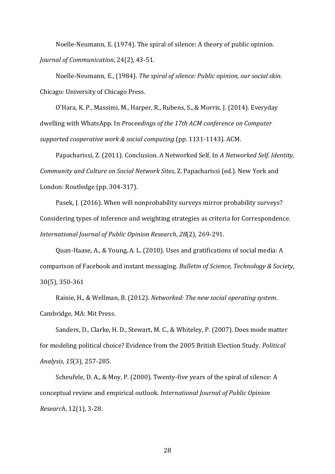Noelle‐Neumann, E. (1974). The spiral of silence: A theory of public opinion. *Journal of Communication*, 24(2), 43-51.

Noelle-Neumann, E., (1984). *The spiral of silence: Public opinion, our social skin*. Chicago: University of Chicago Press.

O'Hara, K. P., Massimi, M., Harper, R., Rubens, S., & Morris, J. (2014). Everyday dwelling with WhatsApp. In *Proceedings of the 17th ACM conference on Computer supported cooperative work & social computing* (pp. 1131-1143). ACM.

Papacharissi, Z. (2011). Conclusion. A Networked Self. In *A Networked Self. Identity, Community and Culture on Social Network Sites*, Z. Papacharissi (ed.). New York and London: Routledge (pp. 304-317).

Pasek, J. (2016). When will nonprobability surveys mirror probability surveys? Considering types of inference and weighting strategies as criteria for Correspondence. *International Journal of Public Opinion Research*, *28*(2), 269-291.

Quan-Haase, A., & Young, A. L. (2010). Uses and gratifications of social media: A comparison of Facebook and instant messaging. *Bulletin of Science, Technology & Society*, 30(5), 350-361

Rainie, H., & Wellman, B. (2012). *Networked: The new social operating system*. Cambridge, MA: Mit Press.

Sanders, D., Clarke, H. D., Stewart, M. C., & Whiteley, P. (2007). Does mode matter for modeling political choice? Evidence from the 2005 British Election Study. *Political Analysis*, *15*(3), 257-285.

Scheufele, D. A., & Moy, P. (2000). Twenty-five years of the spiral of silence: A conceptual review and empirical outlook. *International Journal of Public Opinion Research*, 12(1), 3-28.